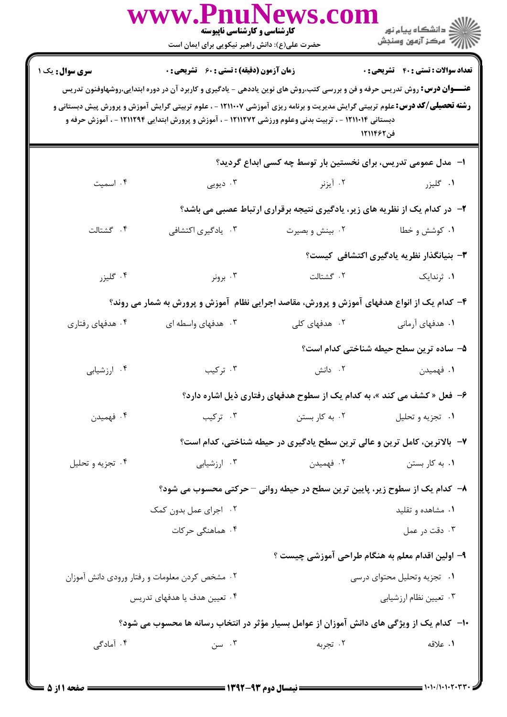|                        | www.PnuNews.cor<br><b>کارشناسی و کارشناسی ناپیوسته</b><br>حضرت علی(ع): دانش راهبر نیکویی برای ایمان است                                                                                                                                                                                                                                                                                                                               |                                                                            | ر دانشگاه پيام نور<br>ا∛ مرکز آزمون وسنڊش                  |
|------------------------|---------------------------------------------------------------------------------------------------------------------------------------------------------------------------------------------------------------------------------------------------------------------------------------------------------------------------------------------------------------------------------------------------------------------------------------|----------------------------------------------------------------------------|------------------------------------------------------------|
| <b>سری سوال :</b> یک ۱ | <b>زمان آزمون (دقیقه) : تستی : 60 ٪ تشریحی : 0</b><br><b>عنــــوان درس:</b> روش تدریس حرفه و فن و بررسی کتب،روش های نوین یاددهی - یادگیری و کاربرد آن در دوره ابتدایی،روشهاوفنون تدریس<br><b>رشته تحصیلی/کد درس:</b> علوم تربیتی گرایش مدیریت و برنامه ریزی آموزشی ۱۲۱۱۰۰۷ - ، علوم تربیتی گرایش آموزش و پرورش پیش دبستانی و<br>دبستانی ۱۲۱۱۰۱۴ - ، تربیت بدنی وعلوم ورزشی ۱۲۱۱۲۷۲ - ، آموزش و پرورش ابتدایی ۱۲۱۱۲۹۴ - ، آموزش حرفه و |                                                                            | <b>تعداد سوالات : تستي : 40 - تشريحي : 0</b><br>فن ۱۲۱۱۴۶۲ |
|                        |                                                                                                                                                                                                                                                                                                                                                                                                                                       | ا–۔مدل عمومی تدریس، برای نخستین بار توسط چه کسی ابداع گردید؟               |                                                            |
| ۰۴ اسمیت               | ۰۳ دیویی                                                                                                                                                                                                                                                                                                                                                                                                                              | ۰۲ آیزنر                                                                   | ۰۱ گلیزر                                                   |
|                        |                                                                                                                                                                                                                                                                                                                                                                                                                                       | ۲- در کدام یک از نظریه های زیر، یادگیری نتیجه برقراری ارتباط عصبی می باشد؟ |                                                            |
| ۴. گشتالت              | ۰۳ یادگیری اکتشافی                                                                                                                                                                                                                                                                                                                                                                                                                    | ۰۲ بینش و بصیرت                                                            | ۰۱ کوشش و خطا                                              |
|                        |                                                                                                                                                                                                                                                                                                                                                                                                                                       |                                                                            | ۳- بنیانگذار نظریه یادگیری اکتشافی کیست؟                   |
| ۰۴ گليزر               | ۰۳ برونر                                                                                                                                                                                                                                                                                                                                                                                                                              | ۰۲ گشتالت                                                                  | ۰۱ ثرندایک                                                 |
|                        | ۴– کدام یک از انواع هدفهای آموزش و پرورش، مقاصد اجرایی نظام آموزش و پرورش به شمار می روند؟                                                                                                                                                                                                                                                                                                                                            |                                                                            |                                                            |
| ۰۴ هدفهای رفتاری       | ۰۳ هدفهای واسطه ای                                                                                                                                                                                                                                                                                                                                                                                                                    | ۰۲ هدفهای کلی                                                              | ۰۱ هدفهای آرمانی                                           |
|                        |                                                                                                                                                                                                                                                                                                                                                                                                                                       |                                                                            | ۵– ساده ترین سطح حیطه شناختی کدام است؟                     |
| ۰۴ ارزشیابی            | ۰۳ ترکیب                                                                                                                                                                                                                                                                                                                                                                                                                              | ۰۲ دانش                                                                    | ۰۱ فهمیدن                                                  |
|                        |                                                                                                                                                                                                                                                                                                                                                                                                                                       | ۶- فعل « کشف می کند »، به کدام یک از سطوح هدفهای رفتاری ذیل اشاره دارد؟    |                                                            |
| ۰۴ فهميدن              | ۰۳ ترکیب                                                                                                                                                                                                                                                                                                                                                                                                                              | ۰۲ به کار بستن                                                             | ۰۱ تجزیه و تحلیل                                           |
|                        |                                                                                                                                                                                                                                                                                                                                                                                                                                       | ۷- بالاترین، کامل ترین و عالی ترین سطح یادگیری در حیطه شناختی، کدام است؟   |                                                            |
| ۰۴ تجزیه و تحلیل       | ۰۳ ارزشیابی                                                                                                                                                                                                                                                                                                                                                                                                                           | ۰۲ فهمیدن                                                                  | ۰۱ به کار بستن                                             |
|                        | ٨− كدام يك از سطوح زير، پايين ترين سطح در حيطه رواني − حركتي محسوب مي شود؟                                                                                                                                                                                                                                                                                                                                                            |                                                                            |                                                            |
|                        | ۰۲ اجرای عمل بدون کمک                                                                                                                                                                                                                                                                                                                                                                                                                 |                                                                            | ۰۱ مشاهده و تقلید                                          |
|                        | ۰۴ هماهنگی حرکات                                                                                                                                                                                                                                                                                                                                                                                                                      |                                                                            | ۰۳ دقت در عمل                                              |
|                        |                                                                                                                                                                                                                                                                                                                                                                                                                                       |                                                                            | ۹– اولین اقدام معلم به هنگام طراحی آموزشی چیست ؟           |
|                        | ۰۲ مشخص کردن معلومات و رفتار ورودی دانش آموزان                                                                                                                                                                                                                                                                                                                                                                                        |                                                                            | ٠١ تجزيه وتحليل محتواي درسي                                |
|                        | ۰۴ تعیین هدف یا هدفهای تدریس                                                                                                                                                                                                                                                                                                                                                                                                          |                                                                            | ۰۳ تعیین نظام ارزشیابی                                     |
|                        | ∙ا− کدام یک از ویژگی های دانش آموزان از عوامل بسیار مؤثر در انتخاب رسانه ها محسوب می شود؟                                                                                                                                                                                                                                                                                                                                             |                                                                            |                                                            |
| ۰۴ آمادگی              | ۰۳ سن                                                                                                                                                                                                                                                                                                                                                                                                                                 | ۰۲ تجربه                                                                   | ١. علاقه                                                   |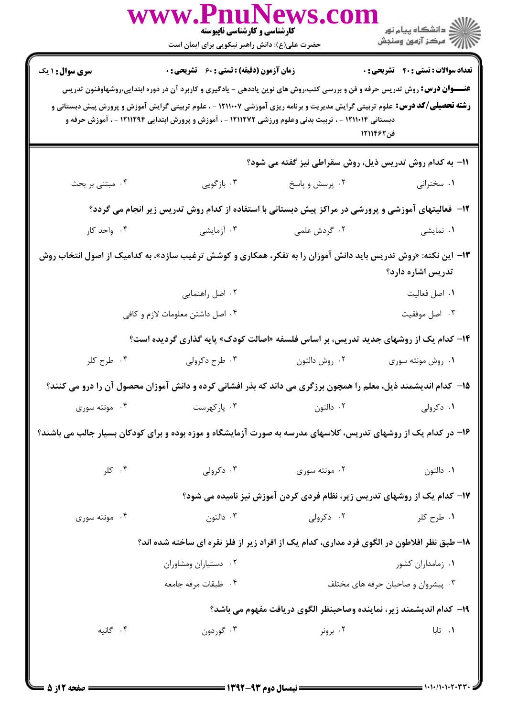|                                                                                                                | www.PnuNews.col<br><b>کارشناسی و کارشناسی ناپیوسته</b><br>حضرت علی(ع): دانش راهبر نیکویی برای ایمان است                                                                                                                                                                                                                                                                        |                                                                          | ن دانشگاه پيام نور<br>د مرکز آزمون وسنجش     |
|----------------------------------------------------------------------------------------------------------------|--------------------------------------------------------------------------------------------------------------------------------------------------------------------------------------------------------------------------------------------------------------------------------------------------------------------------------------------------------------------------------|--------------------------------------------------------------------------|----------------------------------------------|
| <b>سری سوال : ۱ یک</b>                                                                                         | <b>زمان آزمون (دقیقه) : تستی : 60 ٪ تشریحی : 0</b>                                                                                                                                                                                                                                                                                                                             |                                                                          | <b>تعداد سوالات : تستي : 40 - تشريحي : 0</b> |
|                                                                                                                | <b>عنـــوان درس:</b> روش تدریس حرفه و فن و بررسی کتب،روش های نوین یاددهی - یادگیری و کاربرد آن در دوره ابتدایی،روشهاوفنون تدریس<br><b>رشته تحصیلی/کد درس:</b> علوم تربیتی گرایش مدیریت و برنامه ریزی آموزشی ۱۲۱۱۰۰۷ - ، علوم تربیتی گرایش آموزش و پرورش پیش دبستانی و<br>دبستانی ۱۲۱۱۰۱۴ - ، تربیت بدنی وعلوم ورزشی ۱۲۱۱۲۷۲ - ، آموزش و پرورش ابتدایی ۱۲۱۱۲۹۴ - ، آموزش حرفه و |                                                                          | فن ۱۲۱۱۴۶۲                                   |
|                                                                                                                |                                                                                                                                                                                                                                                                                                                                                                                | 11- به کدام روش تدریس ذیل، روش سقراطی نیز گفته می شود؟                   |                                              |
| ۰۴ مبتنی بر بحث                                                                                                | ۰۳ بازگویی                                                                                                                                                                                                                                                                                                                                                                     | ۰۲ پرسش و پاسخ                                                           | ۰۱ سخنرانی                                   |
|                                                                                                                | ۱۲- فعالیتهای آموزشی و پرورشی در مراکز پیش دبستانی با استفاده از کدام روش تدریس زیر انجام می گردد؟                                                                                                                                                                                                                                                                             |                                                                          |                                              |
| ۰۴ واحد کار                                                                                                    | ۰۳ آزمایشی                                                                                                                                                                                                                                                                                                                                                                     | ۰۲ گردش علمی                                                             | ۰۱ نمایشی                                    |
|                                                                                                                | ۱۳- این نکته: «روش تدریس باید دانش آموزان را به تفکر، همکاری و کوشش ترغیب سازد»، به کدامیک از اصول انتخاب روش                                                                                                                                                                                                                                                                  |                                                                          | تدریس اشاره دارد؟                            |
|                                                                                                                | ۰۲ اصل راهنمایی                                                                                                                                                                                                                                                                                                                                                                |                                                                          | ٠١ اصل فعاليت                                |
|                                                                                                                | ۰۴ اصل داشتن معلومات لازم و کافی                                                                                                                                                                                                                                                                                                                                               |                                                                          | ۰۳ اصل موفقيت                                |
|                                                                                                                | ۱۴- کدام یک از روشهای جدید تدریس، بر اساس فلسفه «اصالت کودک» پایه گذاری گردیده است؟                                                                                                                                                                                                                                                                                            |                                                                          |                                              |
| ۰۴ طرح کلر                                                                                                     | ۰۳ طرح دکرولی                                                                                                                                                                                                                                                                                                                                                                  | ٠٢ روش دالتون                                                            | ۰۱ روش مونته سوری                            |
|                                                                                                                | ۱۵– کدام اندیشمند ذیل، معلم را همچون برزگری می داند که بذر افشانی کرده و دانش آموزان محصول آن را درو می کنند؟                                                                                                                                                                                                                                                                  |                                                                          |                                              |
| ۰۴ مونته سوری                                                                                                  | ۰۳ پارکهرست                                                                                                                                                                                                                                                                                                                                                                    | ۰۲ دالتون                                                                | ۰۱ دکرولی                                    |
| ۱۶- در کدام یک از روشهای تدریس، کلاسهای مدرسه به صورت آزمایشگاه و موزه بوده و برای کودکان بسیار جالب می باشند؟ |                                                                                                                                                                                                                                                                                                                                                                                |                                                                          |                                              |
| ۰۴ کلر                                                                                                         | ۰۳ دکرولی                                                                                                                                                                                                                                                                                                                                                                      | ۰۲ مونته سوری                                                            | ٠١ دالتون                                    |
|                                                                                                                |                                                                                                                                                                                                                                                                                                                                                                                | ۱۷- کدام یک از روشهای تدریس زیر، نظام فردی کردن آموزش نیز نامیده می شود؟ |                                              |
| ۰۴ مونته سوری                                                                                                  | ۰۳ دالتون                                                                                                                                                                                                                                                                                                                                                                      | ۰۲ دکرولی                                                                | ۱. طرح کلر                                   |
|                                                                                                                | ۱۸- طبق نظر افلاطون در الگوی فرد مداری، کدام یک از افراد زیر از فلز نقره ای ساخته شده اند؟                                                                                                                                                                                                                                                                                     |                                                                          |                                              |
|                                                                                                                | ۰۲ دستياران ومشاوران                                                                                                                                                                                                                                                                                                                                                           |                                                                          | ۰۱ زمامداران کشور                            |
|                                                                                                                | ۰۴ طبقات مرفه جامعه                                                                                                                                                                                                                                                                                                                                                            |                                                                          | ۰۳ پیشروان و صاحبان حرفه های مختلف           |
|                                                                                                                |                                                                                                                                                                                                                                                                                                                                                                                | ۱۹- كدام انديشمند زير، نماينده وصاحبنظر الگوي دريافت مفهوم مي باشد؟      |                                              |
| ۰۴ گانیه                                                                                                       | ۰۳ گوردون                                                                                                                                                                                                                                                                                                                                                                      | ۰۲ برونر                                                                 | ۰۱ تابا                                      |
|                                                                                                                |                                                                                                                                                                                                                                                                                                                                                                                |                                                                          |                                              |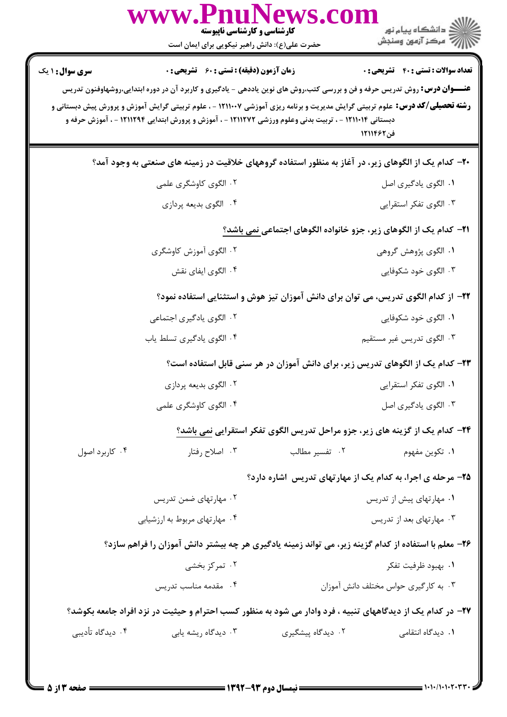| ر دانشڪاه پيام نور<br>ا∛ مرڪز آزمون وسنڊش                                                                                                                                                                                                                                           |                   | www.PnuNews.con<br>کارشناسی و کارشناسی ناپیوسته<br>حضرت علی(ع): دانش راهبر نیکویی برای ایمان است      |                        |
|-------------------------------------------------------------------------------------------------------------------------------------------------------------------------------------------------------------------------------------------------------------------------------------|-------------------|-------------------------------------------------------------------------------------------------------|------------------------|
| <b>تعداد سوالات : تستی : 40 قشریحی : 0</b>                                                                                                                                                                                                                                          |                   | <b>زمان آزمون (دقیقه) : تستی : 60 ٪ تشریحی : 0</b>                                                    | <b>سری سوال : ۱ یک</b> |
| <b>عنـــوان درس:</b> روش تدریس حرفه و فن و بررسی کتب،روش های نوین یاددهی - یادگیری و کاربرد آن در دوره ابتدایی،روشهاوفنون تدریس<br><b>رشته تحصیلی/کد درس:</b> علوم تربیتی گرایش مدیریت و برنامه ریزی آموزشی ۱۲۱۱۰۰۷ - ، علوم تربیتی گرایش آموزش و پرورش پیش دبستانی و<br>فن ۱۲۱۱۴۶۲ |                   | دبستانی ۱۲۱۱۰۱۴ - ، تربیت بدنی وعلوم ورزشی ۱۲۱۱۲۷۲ - ، آموزش و پرورش ابتدایی ۱۲۱۱۲۹۴ - ، آموزش حرفه و |                        |
| +۲- کدام یک از الگوهای زیر، در آغاز به منظور استفاده گروههای خلاقیت در زمینه های صنعتی به وجود آمد؟                                                                                                                                                                                 |                   |                                                                                                       |                        |
| ٠١. الگوى يادگيرى اصل                                                                                                                                                                                                                                                               |                   | ۰۲ الگوی کاوشگری علمی                                                                                 |                        |
| ۰۳ الگوی تفکر استقرایی                                                                                                                                                                                                                                                              |                   | ۰۴ الگوي بديعه پردازي                                                                                 |                        |
| <b>۲۱</b> – کدام یک از الگوهای زیر، جزو خانواده الگوهای اجتماعی نمی باشد؟                                                                                                                                                                                                           |                   |                                                                                                       |                        |
| ۰۱ الگوی پژوهش گروهی                                                                                                                                                                                                                                                                |                   | ۰۲ الگوی آموزش کاوشگری                                                                                |                        |
| ۰۳ الگوی خود شکوفایی                                                                                                                                                                                                                                                                |                   | ۰۴ الگوی ایفای نقش                                                                                    |                        |
| ۲۲– از کدام الگوی تدریس، می توان برای دانش آموزان تیز هوش و استثنایی استفاده نمود؟                                                                                                                                                                                                  |                   |                                                                                                       |                        |
| ۰۱ الگوی خود شکوفایی                                                                                                                                                                                                                                                                |                   | ۰۲ الگوی یادگیری اجتماعی                                                                              |                        |
| ۰۳ الگوی تدریس غیر مستقیم                                                                                                                                                                                                                                                           |                   | ۰۴ الگوی یادگیری تسلط یاب                                                                             |                        |
| ۲۳– کدام یک از الگوهای تدریس زیر، برای دانش آموزان در هر سنی قابل استفاده است؟                                                                                                                                                                                                      |                   |                                                                                                       |                        |
| ٠١ الگوى تفكر استقرايي                                                                                                                                                                                                                                                              |                   | ۰۲ الگوي بديعه پردازي                                                                                 |                        |
| ۰۳ الگوی یادگیری اصل                                                                                                                                                                                                                                                                |                   | ۰۴ الگوی کاوشگری علمی                                                                                 |                        |
| ۲۴- کدام یک از گزینه های زیر، جزو مراحل تدریس الگوی تفکر استقرایی نمی باشد؟                                                                                                                                                                                                         |                   |                                                                                                       |                        |
| ٠١. تكوين مفهوم                                                                                                                                                                                                                                                                     | ۰۲ تفسیر مطالب    | ۰۳ اصلاح رفتار                                                                                        | ۰۴ کاربرد اصول         |
| ۲۵- مرحله ی اجرا، به کدام یک از مهارتهای تدریس آشاره دارد؟                                                                                                                                                                                                                          |                   |                                                                                                       |                        |
| ۰۱ مهارتهای پیش از تدریس                                                                                                                                                                                                                                                            |                   | ۰۲ مهارتهای ضمن تدریس                                                                                 |                        |
| ۰۳ مهارتهای بعد از تدریس                                                                                                                                                                                                                                                            |                   | ۰۴ مهارتهای مربوط به ارزشیابی                                                                         |                        |
| ۲۶- معلم با استفاده از کدام گزینه زیر، می تواند زمینه یادگیری هر چه بیشتر دانش آموزان را فراهم سازد؟                                                                                                                                                                                |                   |                                                                                                       |                        |
| ۰۱ بهبود ظرفيت تفكر                                                                                                                                                                                                                                                                 |                   | ۰۲ تمرکز بخشی                                                                                         |                        |
| ۰۳ به کارگیری حواس مختلف دانش آموزان                                                                                                                                                                                                                                                |                   | ۰۴ مقدمه مناسب تدریس                                                                                  |                        |
| ۲۷– در کدام یک از دیدگاههای تنبیه ، فرد وادار می شود به منظور کسب احترام و حیثیت در نزد افراد جامعه بکوشد؟                                                                                                                                                                          |                   |                                                                                                       |                        |
| ۰۱ دیدگاه انتقامی                                                                                                                                                                                                                                                                   | ۰۲ دیدگاه پیشگیری | ۰۳ دیدگاه ریشه یابی                                                                                   | ۰۴ دیدگاه تأدیبی       |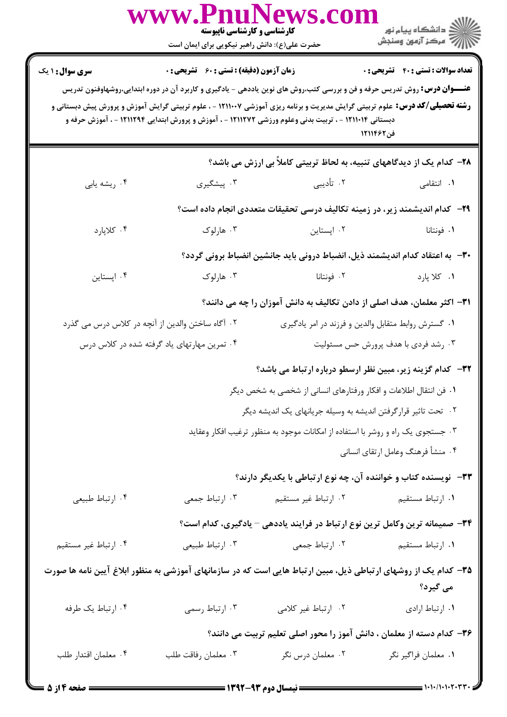|                        | www.Fnulvews.con<br>کارشناسی و کارشناسی ناپیوسته<br>حضرت علی(ع): دانش راهبر نیکویی برای ایمان است |                                                                                                                                                                                                                                                                                                                                                                                 |                                                            |
|------------------------|---------------------------------------------------------------------------------------------------|---------------------------------------------------------------------------------------------------------------------------------------------------------------------------------------------------------------------------------------------------------------------------------------------------------------------------------------------------------------------------------|------------------------------------------------------------|
| <b>سری سوال : ۱ یک</b> | زمان آزمون (دقیقه) : تستی : 60 ٪ تشریحی : 0                                                       | <b>عنــــوان درس:</b> روش تدریس حرفه و فن و بررسی کتب،روش های نوین یاددهی - یادگیری و کاربرد آن در دوره ابتدایی،روشهاوفنون تدریس<br><b>رشته تحصیلی/کد درس:</b> علوم تربیتی گرایش مدیریت و برنامه ریزی آموزشی ۱۲۱۱۰۰۷ - ، علوم تربیتی گرایش آموزش و پرورش پیش دبستانی و<br>دبستانی ۱۲۱۱۰۱۴ - ، تربیت بدنی وعلوم ورزشی ۱۲۱۱۲۷۲ - ، آموزش و پرورش ابتدایی ۱۲۱۱۲۹۴ - ، آموزش حرفه و | <b>تعداد سوالات : تستي : 40 ٪ تشريحي : 0</b><br>فن ۱۲۱۱۴۶۲ |
|                        |                                                                                                   | ۲۸– کدام یک از دیدگاههای تنبیه، به لحاظ تربیتی کاملاً بی ارزش می باشد؟                                                                                                                                                                                                                                                                                                          |                                                            |
| ۰۴ ریشه یابی           | ۰۳ پیشگیری                                                                                        | ۰۲ تأدیبی                                                                                                                                                                                                                                                                                                                                                                       | <b>۱.</b> انتقامی                                          |
|                        |                                                                                                   | <b>۲۹</b> - کدام اندیشمند زیر، در زمینه تکالیف درسی تحقیقات متعددی انجام داده است؟                                                                                                                                                                                                                                                                                              |                                                            |
| ۰۴ کلاپارد             | ۰۳ هارلوک                                                                                         | ۰۲ اپستاین                                                                                                                                                                                                                                                                                                                                                                      | ۰۱ فونتانا                                                 |
|                        |                                                                                                   | ۳۰ – به اعتقاد کدام اندیشمند ذیل، انضباط درونی باید جانشین انضباط برونی گردد؟                                                                                                                                                                                                                                                                                                   |                                                            |
| ۰۴ اپستاین             | ۰۳ هارلوک                                                                                         | ۰۲ فونتانا                                                                                                                                                                                                                                                                                                                                                                      | ١. كلا پارد                                                |
|                        |                                                                                                   | ۳۱– اکثر معلمان، هدف اصلی از دادن تکالیف به دانش آموزان را چه می دانند؟                                                                                                                                                                                                                                                                                                         |                                                            |
|                        | ۰۲ آگاه ساختن والدین از آنچه در کلاس درس می گذرد                                                  | ۰۱ گسترش روابط متقابل والدین و فرزند در امر یادگیری                                                                                                                                                                                                                                                                                                                             |                                                            |
|                        | ۰۴ تمرین مهارتهای یاد گرفته شده در کلاس درس                                                       |                                                                                                                                                                                                                                                                                                                                                                                 | ۰۳ رشد فردی با هدف پرورش حس مسئولیت                        |
|                        |                                                                                                   | ۳۲– کدام گزینه زیر، مبین نظر ارسطو درباره ارتباط می باشد؟                                                                                                                                                                                                                                                                                                                       |                                                            |
|                        |                                                                                                   | ٠١ فن انتقال اطلاعات و افكار ورفتارهاي انساني از شخصي به شخص ديگر                                                                                                                                                                                                                                                                                                               |                                                            |
|                        |                                                                                                   | ۰۲ تحت تاثیر قرارگرفتن اندیشه به وسیله جریانهای یک اندیشه دیگر                                                                                                                                                                                                                                                                                                                  |                                                            |
|                        |                                                                                                   | ۰۳ جستجوی یک راه و روشر با استفاده از امکانات موجود به منظور ترغیب افکار وعقاید                                                                                                                                                                                                                                                                                                 |                                                            |
|                        |                                                                                                   |                                                                                                                                                                                                                                                                                                                                                                                 | ۰۴ منشأ فرهنگ وعامل ارتقاي انساني                          |
|                        |                                                                                                   | ۳۳– نویسنده کتاب و خواننده آن، چه نوع ارتباطی با یکدیگر دارند؟                                                                                                                                                                                                                                                                                                                  |                                                            |
| ۰۴ ارتباط طبیعی        | ۰۳ ارتباط جمعی                                                                                    | ٠٢ ارتباط غير مستقيم                                                                                                                                                                                                                                                                                                                                                            | ۰۱ ارتباط مستقیم                                           |
|                        |                                                                                                   | ۳۴- صمیمانه ترین وکامل ترین نوع ارتباط در فرایند یاددهی – یادگیری، کدام است؟                                                                                                                                                                                                                                                                                                    |                                                            |
| ۰۴ ارتباط غير مستقيم   | ۰۳ ارتباط طبیعی                                                                                   | ۰۲ ارتباط جمعی                                                                                                                                                                                                                                                                                                                                                                  | ۰۱ ارتباط مستقيم                                           |
|                        |                                                                                                   | ۳۵– کدام یک از روشهای ارتباطی ذیل، مبین ارتباط هایی است که در سازمانهای آموزشی به منظور ابلاغ آیین نامه ها صورت                                                                                                                                                                                                                                                                 | می گیرد؟                                                   |
| ۰۴ ارتباط یک طرفه      | ۰۳ ارتباط رسمي                                                                                    | ٢. ارتباط غير كلامي                                                                                                                                                                                                                                                                                                                                                             | ٠١ ارتباط ارادي                                            |
|                        |                                                                                                   | ۳۶– کدام دسته از معلمان ، دانش آموز را محور اصلی تعلیم تربیت می دانند؟                                                                                                                                                                                                                                                                                                          |                                                            |
| ۰۴ معلمان اقتدار طلب   | ۰۳ معلمان رفاقت طلب                                                                               | ۰۲ معلمان درس نگر                                                                                                                                                                                                                                                                                                                                                               | ٠١. معلمان فراگير نگر                                      |